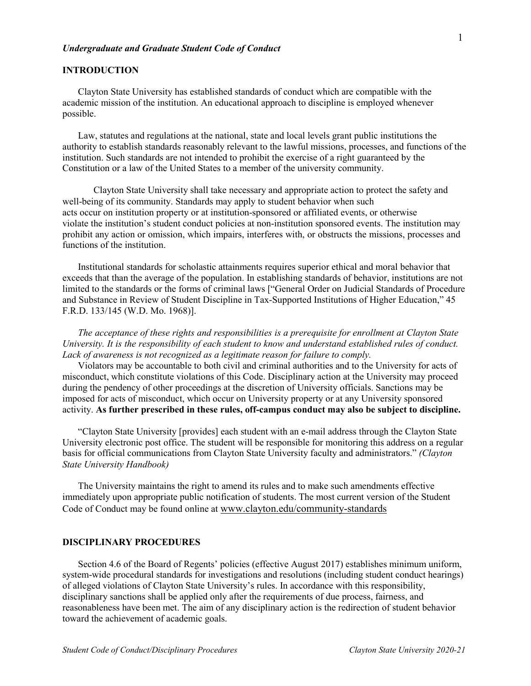#### *Undergraduate and Graduate Student Code of Conduct*

## **INTRODUCTION**

Clayton State University has established standards of conduct which are compatible with the academic mission of the institution. An educational approach to discipline is employed whenever possible.

Law, statutes and regulations at the national, state and local levels grant public institutions the authority to establish standards reasonably relevant to the lawful missions, processes, and functions of the institution. Such standards are not intended to prohibit the exercise of a right guaranteed by the Constitution or a law of the United States to a member of the university community.

Clayton State University shall take necessary and appropriate action to protect the safety and well-being of its community. Standards may apply to student behavior when such acts occur on institution property or at institution-sponsored or affiliated events, or otherwise violate the institution's student conduct policies at non-institution sponsored events. The institution may prohibit any action or omission, which impairs, interferes with, or obstructs the missions, processes and functions of the institution.

Institutional standards for scholastic attainments requires superior ethical and moral behavior that exceeds that than the average of the population. In establishing standards of behavior, institutions are not limited to the standards or the forms of criminal laws ["General Order on Judicial Standards of Procedure and Substance in Review of Student Discipline in Tax-Supported Institutions of Higher Education," 45 F.R.D. 133/145 (W.D. Mo. 1968)].

*The acceptance of these rights and responsibilities is a prerequisite for enrollment at Clayton State University. It is the responsibility of each student to know and understand established rules of conduct. Lack of awareness is not recognized as a legitimate reason for failure to comply.*

Violators may be accountable to both civil and criminal authorities and to the University for acts of misconduct, which constitute violations of this Code. Disciplinary action at the University may proceed during the pendency of other proceedings at the discretion of University officials. Sanctions may be imposed for acts of misconduct, which occur on University property or at any University sponsored activity. **As further prescribed in these rules, off-campus conduct may also be subject to discipline.**

"Clayton State University [provides] each student with an e-mail address through the Clayton State University electronic post office. The student will be responsible for monitoring this address on a regular basis for official communications from Clayton State University faculty and administrators." *(Clayton State University Handbook)*

The University maintains the right to amend its rules and to make such amendments effective immediately upon appropriate public notification of students. The most current version of the Student Code of Conduct may be found online at [www.clayton.edu/community-standards](http://www.clayton.edu/community-standards)

## **DISCIPLINARY PROCEDURES**

Section 4.6 of the Board of Regents' policies (effective August 2017) establishes minimum uniform, system-wide procedural standards for investigations and resolutions (including student conduct hearings) of alleged violations of Clayton State University's rules. In accordance with this responsibility, disciplinary sanctions shall be applied only after the requirements of due process, fairness, and reasonableness have been met. The aim of any disciplinary action is the redirection of student behavior toward the achievement of academic goals.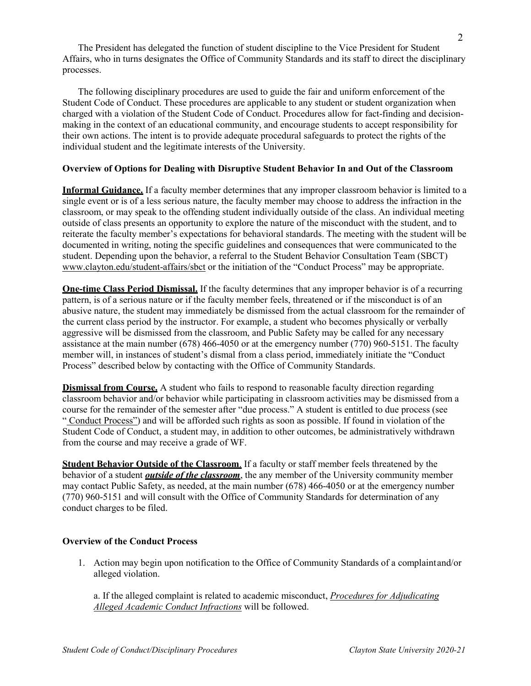The President has delegated the function of student discipline to the Vice President for Student Affairs, who in turns designates the Office of Community Standards and its staff to direct the disciplinary processes.

The following disciplinary procedures are used to guide the fair and uniform enforcement of the Student Code of Conduct. These procedures are applicable to any student or student organization when charged with a violation of the Student Code of Conduct. Procedures allow for fact-finding and decisionmaking in the context of an educational community, and encourage students to accept responsibility for their own actions. The intent is to provide adequate procedural safeguards to protect the rights of the individual student and the legitimate interests of the University.

# **Overview of Options for Dealing with Disruptive Student Behavior In and Out of the Classroom**

**Informal Guidance.** If a faculty member determines that any improper classroom behavior is limited to a single event or is of a less serious nature, the faculty member may choose to address the infraction in the classroom, or may speak to the offending student individually outside of the class. An individual meeting outside of class presents an opportunity to explore the nature of the misconduct with the student, and to reiterate the faculty member's expectations for behavioral standards. The meeting with the student will be documented in writing, noting the specific guidelines and consequences that were communicated to the student. Depending upon the behavior, a referral to the Student Behavior Consultation Team (SBCT) [www.clayton.edu/student-affairs/sbct](http://www.clayton.edu/student-affairs/sbct) or the initiation of the "Conduct Process" may be appropriate.

**One-time Class Period Dismissal.** If the faculty determines that any improper behavior is of a recurring pattern, is of a serious nature or if the faculty member feels, threatened or if the misconduct is of an abusive nature, the student may immediately be dismissed from the actual classroom for the remainder of the current class period by the instructor. For example, a student who becomes physically or verbally aggressive will be dismissed from the classroom, and Public Safety may be called for any necessary assistance at the main number (678) 466-4050 or at the emergency number (770) 960-5151. The faculty member will, in instances of student's dismal from a class period, immediately initiate the "Conduct Process" described below by contacting with the Office of Community Standards.

**Dismissal from Course.** A student who fails to respond to reasonable faculty direction regarding classroom behavior and/or behavior while participating in classroom activities may be dismissed from a course for the remainder of the semester after "due process." A student is entitled to due process (see " [Conduct Process"\)](#page-1-0) and will be afforded such rights as soon as possible. If found in violation of the Student Code of Conduct, a student may, in addition to other outcomes, be administratively withdrawn from the course and may receive a grade of WF.

**Student Behavior Outside of the Classroom**. If a faculty or staff member feels threatened by the behavior of a student *outside of the classroom*, the any member of the University community member may contact Public Safety, as needed, at the main number (678) 466-4050 or at the emergency number (770) 960-5151 and will consult with the Office of Community Standards for determination of any conduct charges to be filed.

## <span id="page-1-0"></span>**Overview of the Conduct Process**

1. Action may begin upon notification to the Office of Community Standards of a complaintand/or alleged violation.

a. If the alleged complaint is related to academic misconduct, *[Procedures for Adjudicating](#page-5-0) [Alleged Academic Conduct Infractions](#page-5-0)* will be followed.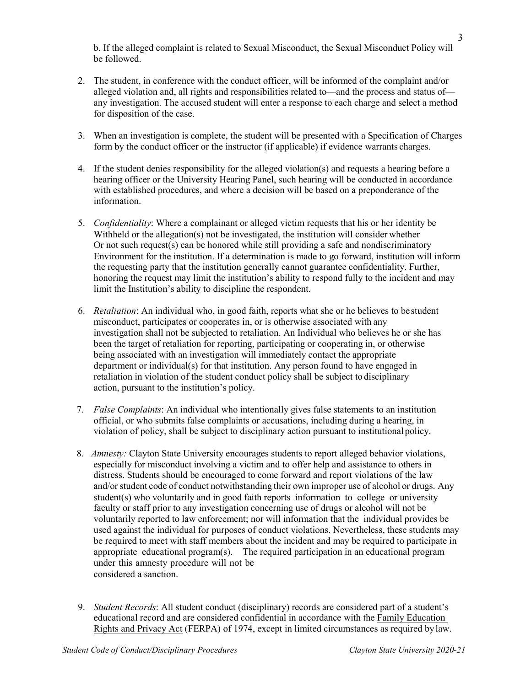b. If the alleged complaint is related to Sexual Misconduct, the Sexual Misconduct Policy will be followed.

- 2. The student, in conference with the conduct officer, will be informed of the complaint and/or alleged violation and, all rights and responsibilities related to—and the process and status of any investigation. The accused student will enter a response to each charge and select a method for disposition of the case.
- 3. When an investigation is complete, the student will be presented with a Specification of Charges form by the conduct officer or the instructor (if applicable) if evidence warrants charges.
- 4. If the student denies responsibility for the alleged violation(s) and requests a hearing before a hearing officer or the University Hearing Panel, such hearing will be conducted in accordance with established procedures, and where a decision will be based on a preponderance of the information.
- 5. *Confidentiality*: Where a complainant or alleged victim requests that his or her identity be Withheld or the allegation(s) not be investigated, the institution will consider whether Or not such request(s) can be honored while still providing a safe and nondiscriminatory Environment for the institution. If a determination is made to go forward, institution will inform the requesting party that the institution generally cannot guarantee confidentiality. Further, honoring the request may limit the institution's ability to respond fully to the incident and may limit the Institution's ability to discipline the respondent.
- 6. *Retaliation*: An individual who, in good faith, reports what she or he believes to be student misconduct, participates or cooperates in, or is otherwise associated with any investigation shall not be subjected to retaliation. An Individual who believes he or she has been the target of retaliation for reporting, participating or cooperating in, or otherwise being associated with an investigation will immediately contact the appropriate department or individual(s) for that institution. Any person found to have engaged in retaliation in violation of the student conduct policy shall be subject to disciplinary action, pursuant to the institution's policy.
- 7. *False Complaints*: An individual who intentionally gives false statements to an institution official, or who submits false complaints or accusations, including during a hearing, in violation of policy, shall be subject to disciplinary action pursuant to institutional policy.
- 8. *Amnesty:* Clayton State University encourages students to report alleged behavior violations, especially for misconduct involving a victim and to offer help and assistance to others in distress. Students should be encouraged to come forward and report violations of the law and/or student code of conduct notwithstanding their own improper use of alcohol or drugs. Any student(s) who voluntarily and in good faith reports information to college or university faculty or staff prior to any investigation concerning use of drugs or alcohol will not be voluntarily reported to law enforcement; nor will information that the individual provides be used against the individual for purposes of conduct violations. Nevertheless, these students may be required to meet with staff members about the incident and may be required to participate in appropriate educational program(s). The required participation in an educational program under this amnesty procedure will not be considered a sanction.
- 9. *Student Records*: All student conduct (disciplinary) records are considered part of a student's educational record and are considered confidential in accordance with the [Family Education](http://www.ed.gov/policy/gen/guid/fpco/ferpa/index.html) [Rights and Privacy Act](http://www.ed.gov/policy/gen/guid/fpco/ferpa/index.html) (FERPA) of 1974, except in limited circumstances as required bylaw.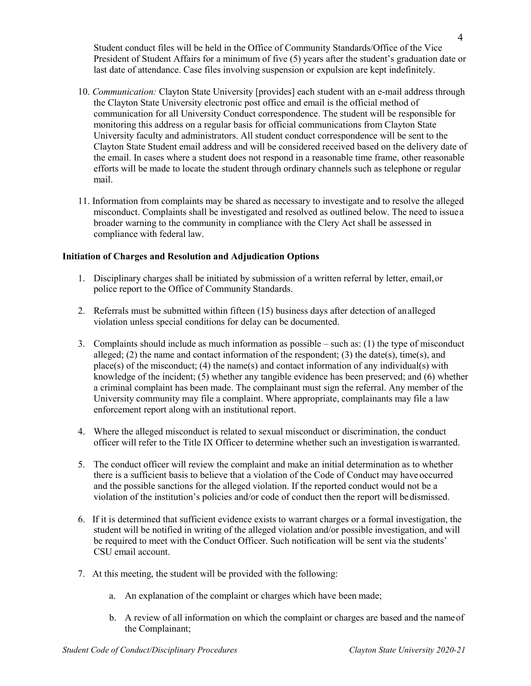Student conduct files will be held in the Office of Community Standards/Office of the Vice President of Student Affairs for a minimum of five (5) years after the student's graduation date or last date of attendance. Case files involving suspension or expulsion are kept indefinitely.

- 10. *Communication:* Clayton State University [provides] each student with an e-mail address through the Clayton State University electronic post office and email is the official method of communication for all University Conduct correspondence. The student will be responsible for monitoring this address on a regular basis for official communications from Clayton State University faculty and administrators. All student conduct correspondence will be sent to the Clayton State Student email address and will be considered received based on the delivery date of the email. In cases where a student does not respond in a reasonable time frame, other reasonable efforts will be made to locate the student through ordinary channels such as telephone or regular mail.
- 11. Information from complaints may be shared as necessary to investigate and to resolve the alleged misconduct. Complaints shall be investigated and resolved as outlined below. The need to issuea broader warning to the community in compliance with the Clery Act shall be assessed in compliance with federal law.

## **Initiation of Charges and Resolution and Adjudication Options**

- 1. Disciplinary charges shall be initiated by submission of a written referral by letter, email,or police report to the Office of Community Standards.
- 2. Referrals must be submitted within fifteen (15) business days after detection of analleged violation unless special conditions for delay can be documented.
- 3. Complaints should include as much information as possible such as: (1) the type of misconduct alleged; (2) the name and contact information of the respondent; (3) the date(s), time(s), and  $place(s)$  of the misconduct; (4) the name(s) and contact information of any individual(s) with knowledge of the incident; (5) whether any tangible evidence has been preserved; and (6) whether a criminal complaint has been made. The complainant must sign the referral. Any member of the University community may file a complaint. Where appropriate, complainants may file a law enforcement report along with an institutional report.
- 4. Where the alleged misconduct is related to sexual misconduct or discrimination, the conduct officer will refer to the Title IX Officer to determine whether such an investigation iswarranted.
- 5. The conduct officer will review the complaint and make an initial determination as to whether there is a sufficient basis to believe that a violation of the Code of Conduct may have occurred and the possible sanctions for the alleged violation. If the reported conduct would not be a violation of the institution's policies and/or code of conduct then the report will bedismissed.
- 6. If it is determined that sufficient evidence exists to warrant charges or a formal investigation, the student will be notified in writing of the alleged violation and/or possible investigation, and will be required to meet with the Conduct Officer. Such notification will be sent via the students' CSU email account.
- 7. At this meeting, the student will be provided with the following:
	- a. An explanation of the complaint or charges which have been made;
	- b. A review of all information on which the complaint or charges are based and the nameof the Complainant;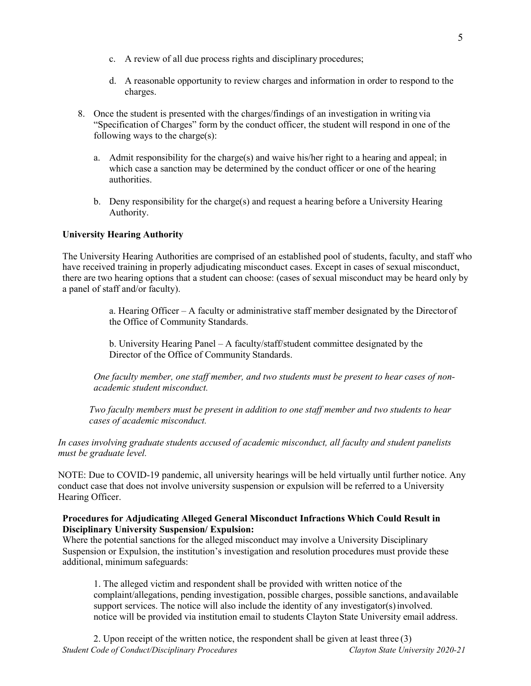- c. A review of all due process rights and disciplinary procedures;
- d. A reasonable opportunity to review charges and information in order to respond to the charges.
- 8. Once the student is presented with the charges/findings of an investigation in writing via "Specification of Charges" form by the conduct officer, the student will respond in one of the following ways to the charge(s):
	- a. Admit responsibility for the charge(s) and waive his/her right to a hearing and appeal; in which case a sanction may be determined by the conduct officer or one of the hearing authorities.
	- b. Deny responsibility for the charge(s) and request a hearing before a University Hearing Authority.

## **University Hearing Authority**

The University Hearing Authorities are comprised of an established pool of students, faculty, and staff who have received training in properly adjudicating misconduct cases. Except in cases of sexual misconduct, there are two hearing options that a student can choose: (cases of sexual misconduct may be heard only by a panel of staff and/or faculty).

> a. Hearing Officer – A faculty or administrative staff member designated by the Directorof the Office of Community Standards.

b. University Hearing Panel – A faculty/staff/student committee designated by the Director of the Office of Community Standards.

*One faculty member, one staff member, and two students must be present to hear cases of nonacademic student misconduct.*

*Two faculty members must be present in addition to one staff member and two students to hear cases of academic misconduct.*

*In cases involving graduate students accused of academic misconduct, all faculty and student panelists must be graduate level.*

NOTE: Due to COVID-19 pandemic, all university hearings will be held virtually until further notice. Any conduct case that does not involve university suspension or expulsion will be referred to a University Hearing Officer.

### **Procedures for Adjudicating Alleged General Misconduct Infractions Which Could Result in Disciplinary University Suspension/ Expulsion:**

Where the potential sanctions for the alleged misconduct may involve a University Disciplinary Suspension or Expulsion, the institution's investigation and resolution procedures must provide these additional, minimum safeguards:

1. The alleged victim and respondent shall be provided with written notice of the complaint/allegations, pending investigation, possible charges, possible sanctions, andavailable support services. The notice will also include the identity of any investigator(s) involved. notice will be provided via institution email to students Clayton State University email address.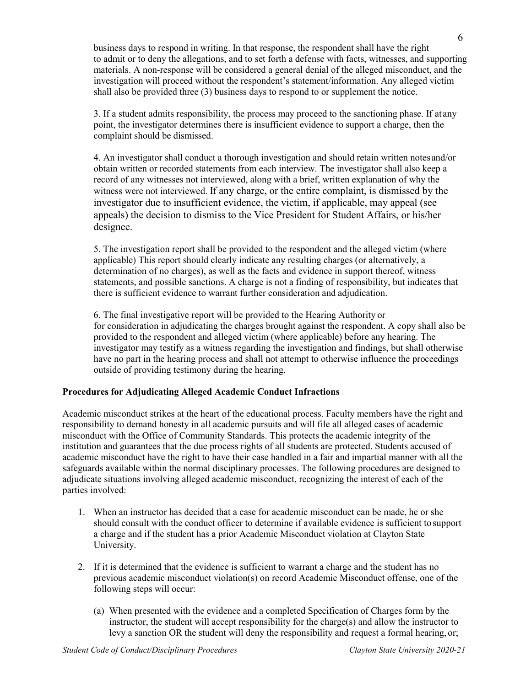business days to respond in writing. In that response, the respondent shall have the right to admit or to deny the allegations, and to set forth a defense with facts, witnesses, and supporting materials. A non-response will be considered a general denial of the alleged misconduct, and the investigation will proceed without the respondent's statement/information. Any alleged victim shall also be provided three (3) business days to respond to or supplement the notice.

3. If a student admits responsibility, the process may proceed to the sanctioning phase. If at any point, the investigator determines there is insufficient evidence to support a charge, then the complaint should be dismissed.

4. An investigator shall conduct a thorough investigation and should retain written notesand/or obtain written or recorded statements from each interview. The investigator shall also keep a record of any witnesses not interviewed, along with a brief, written explanation of why the witness were not interviewed. If any charge, or the entire complaint, is dismissed by the investigator due to insufficient evidence, the victim, if applicable, may appeal (see appeals) the decision to dismiss to the Vice President for Student Affairs, or his/her designee.

5. The investigation report shall be provided to the respondent and the alleged victim (where applicable) This report should clearly indicate any resulting charges (or alternatively, a determination of no charges), as well as the facts and evidence in support thereof, witness statements, and possible sanctions. A charge is not a finding of responsibility, but indicates that there is sufficient evidence to warrant further consideration and adjudication.

6. The final investigative report will be provided to the Hearing Authority or for consideration in adjudicating the charges brought against the respondent. A copy shall also be provided to the respondent and alleged victim (where applicable) before any hearing. The investigator may testify as a witness regarding the investigation and findings, but shall otherwise have no part in the hearing process and shall not attempt to otherwise influence the proceedings outside of providing testimony during the hearing.

## <span id="page-5-0"></span>**Procedures for Adjudicating Alleged Academic Conduct Infractions**

Academic misconduct strikes at the heart of the educational process. Faculty members have the right and responsibility to demand honesty in all academic pursuits and will file all alleged cases of academic misconduct with the Office of Community Standards. This protects the academic integrity of the institution and guarantees that the due process rights of all students are protected. Students accused of academic misconduct have the right to have their case handled in a fair and impartial manner with all the safeguards available within the normal disciplinary processes. The following procedures are designed to adjudicate situations involving alleged academic misconduct, recognizing the interest of each of the parties involved:

- 1. When an instructor has decided that a case for academic misconduct can be made, he or she should consult with the conduct officer to determine if available evidence is sufficient to support a charge and if the student has a prior Academic Misconduct violation at Clayton State University.
- 2. If it is determined that the evidence is sufficient to warrant a charge and the student has no previous academic misconduct violation(s) on record Academic Misconduct offense, one of the following steps will occur:
	- (a) When presented with the evidence and a completed Specification of Charges form by the instructor, the student will accept responsibility for the charge $(s)$  and allow the instructor to levy a sanction OR the student will deny the responsibility and request a formal hearing, or;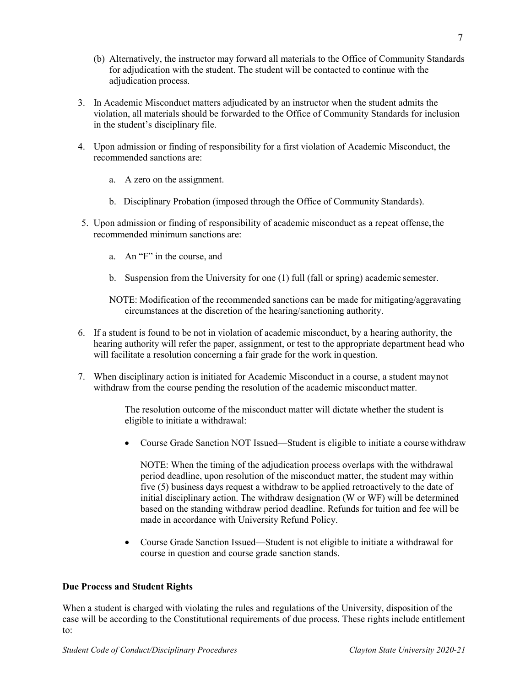- (b) Alternatively, the instructor may forward all materials to the Office of Community Standards for adjudication with the student. The student will be contacted to continue with the adjudication process.
- 3. In Academic Misconduct matters adjudicated by an instructor when the student admits the violation, all materials should be forwarded to the Office of Community Standards for inclusion in the student's disciplinary file.
- 4. Upon admission or finding of responsibility for a first violation of Academic Misconduct, the recommended sanctions are:
	- a. A zero on the assignment.
	- b. Disciplinary Probation (imposed through the Office of Community Standards).
- 5. Upon admission or finding of responsibility of academic misconduct as a repeat offense,the recommended minimum sanctions are:
	- a. An "F" in the course, and
	- b. Suspension from the University for one (1) full (fall or spring) academic semester.

NOTE: Modification of the recommended sanctions can be made for mitigating/aggravating circumstances at the discretion of the hearing/sanctioning authority.

- 6. If a student is found to be not in violation of academic misconduct, by a hearing authority, the hearing authority will refer the paper, assignment, or test to the appropriate department head who will facilitate a resolution concerning a fair grade for the work in question.
- 7. When disciplinary action is initiated for Academic Misconduct in a course, a student maynot withdraw from the course pending the resolution of the academic misconduct matter.

The resolution outcome of the misconduct matter will dictate whether the student is eligible to initiate a withdrawal:

• Course Grade Sanction NOT Issued—Student is eligible to initiate a coursewithdraw

NOTE: When the timing of the adjudication process overlaps with the withdrawal period deadline, upon resolution of the misconduct matter, the student may within five (5) business days request a withdraw to be applied retroactively to the date of initial disciplinary action. The withdraw designation (W or WF) will be determined based on the standing withdraw period deadline. Refunds for tuition and fee will be made in accordance with University Refund Policy.

• Course Grade Sanction Issued—Student is not eligible to initiate a withdrawal for course in question and course grade sanction stands.

## **Due Process and Student Rights**

When a student is charged with violating the rules and regulations of the University, disposition of the case will be according to the Constitutional requirements of due process. These rights include entitlement to: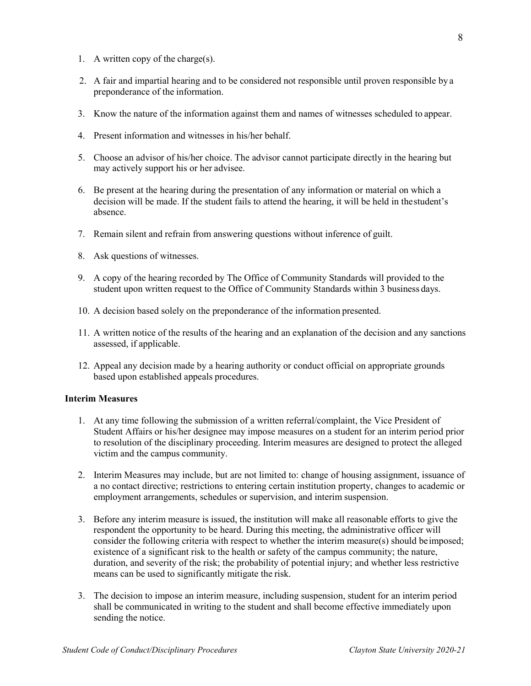- 1. A written copy of the charge(s).
- 2. A fair and impartial hearing and to be considered not responsible until proven responsible by a preponderance of the information.
- 3. Know the nature of the information against them and names of witnesses scheduled to appear.
- 4. Present information and witnesses in his/her behalf.
- 5. Choose an advisor of his/her choice. The advisor cannot participate directly in the hearing but may actively support his or her advisee.
- 6. Be present at the hearing during the presentation of any information or material on which a decision will be made. If the student fails to attend the hearing, it will be held in thestudent's absence.
- 7. Remain silent and refrain from answering questions without inference of guilt.
- 8. Ask questions of witnesses.
- 9. A copy of the hearing recorded by The Office of Community Standards will provided to the student upon written request to the Office of Community Standards within 3 business days.
- 10. A decision based solely on the preponderance of the information presented.
- 11. A written notice of the results of the hearing and an explanation of the decision and any sanctions assessed, if applicable.
- 12. Appeal any decision made by a hearing authority or conduct official on appropriate grounds based upon established appeals procedures.

### **Interim Measures**

- 1. At any time following the submission of a written referral/complaint, the Vice President of Student Affairs or his/her designee may impose measures on a student for an interim period prior to resolution of the disciplinary proceeding. Interim measures are designed to protect the alleged victim and the campus community.
- 2. Interim Measures may include, but are not limited to: change of housing assignment, issuance of a no contact directive; restrictions to entering certain institution property, changes to academic or employment arrangements, schedules or supervision, and interim suspension.
- 3. Before any interim measure is issued, the institution will make all reasonable efforts to give the respondent the opportunity to be heard. During this meeting, the administrative officer will consider the following criteria with respect to whether the interim measure(s) should beimposed; existence of a significant risk to the health or safety of the campus community; the nature, duration, and severity of the risk; the probability of potential injury; and whether less restrictive means can be used to significantly mitigate the risk.
- 3. The decision to impose an interim measure, including suspension, student for an interim period shall be communicated in writing to the student and shall become effective immediately upon sending the notice.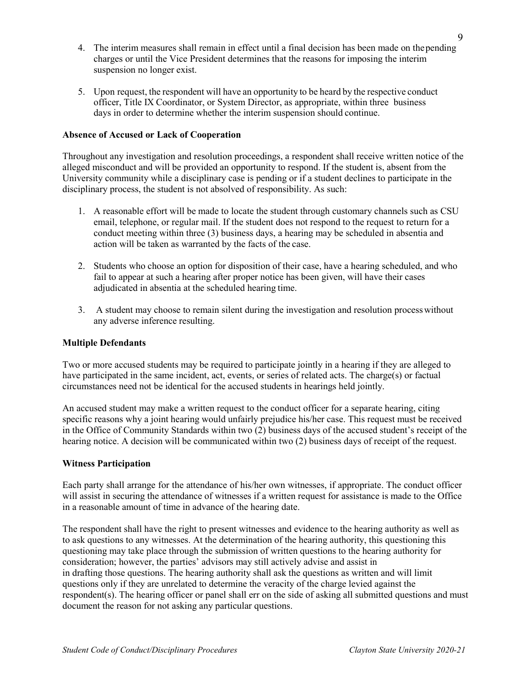- 4. The interim measures shall remain in effect until a final decision has been made on thepending charges or until the Vice President determines that the reasons for imposing the interim suspension no longer exist.
- 5. Upon request, the respondent will have an opportunity to be heard by the respective conduct officer, Title IX Coordinator, or System Director, as appropriate, within three business days in order to determine whether the interim suspension should continue.

# **Absence of Accused or Lack of Cooperation**

Throughout any investigation and resolution proceedings, a respondent shall receive written notice of the alleged misconduct and will be provided an opportunity to respond. If the student is, absent from the University community while a disciplinary case is pending or if a student declines to participate in the disciplinary process, the student is not absolved of responsibility. As such:

- 1. A reasonable effort will be made to locate the student through customary channels such as CSU email, telephone, or regular mail. If the student does not respond to the request to return for a conduct meeting within three (3) business days, a hearing may be scheduled in absentia and action will be taken as warranted by the facts of the case.
- 2. Students who choose an option for disposition of their case, have a hearing scheduled, and who fail to appear at such a hearing after proper notice has been given, will have their cases adjudicated in absentia at the scheduled hearing time.
- 3. A student may choose to remain silent during the investigation and resolution processwithout any adverse inference resulting.

# **Multiple Defendants**

Two or more accused students may be required to participate jointly in a hearing if they are alleged to have participated in the same incident, act, events, or series of related acts. The charge(s) or factual circumstances need not be identical for the accused students in hearings held jointly.

An accused student may make a written request to the conduct officer for a separate hearing, citing specific reasons why a joint hearing would unfairly prejudice his/her case. This request must be received in the Office of Community Standards within two (2) business days of the accused student's receipt of the hearing notice. A decision will be communicated within two (2) business days of receipt of the request.

## <span id="page-8-0"></span>**Witness Participation**

Each party shall arrange for the attendance of his/her own witnesses, if appropriate. The conduct officer will assist in securing the attendance of witnesses if a written request for assistance is made to the Office in a reasonable amount of time in advance of the hearing date.

The respondent shall have the right to present witnesses and evidence to the hearing authority as well as to ask questions to any witnesses. At the determination of the hearing authority, this questioning this questioning may take place through the submission of written questions to the hearing authority for consideration; however, the parties' advisors may still actively advise and assist in in drafting those questions. The hearing authority shall ask the questions as written and will limit questions only if they are unrelated to determine the veracity of the charge levied against the respondent(s). The hearing officer or panel shall err on the side of asking all submitted questions and must document the reason for not asking any particular questions.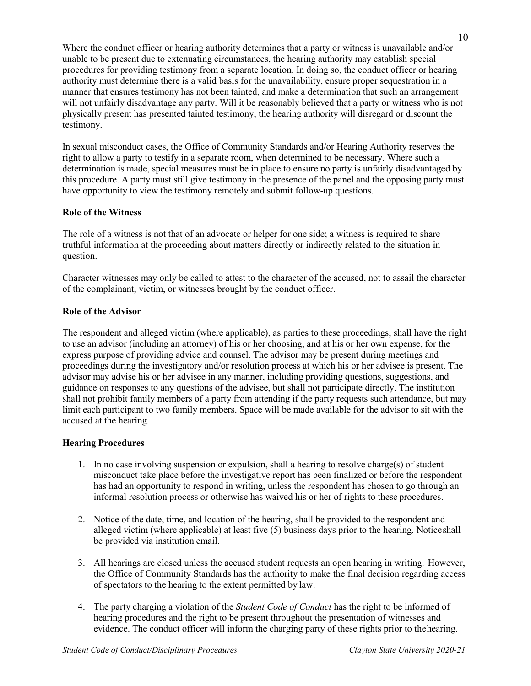Where the conduct officer or hearing authority determines that a party or witness is unavailable and/or unable to be present due to extenuating circumstances, the hearing authority may establish special procedures for providing testimony from a separate location. In doing so, the conduct officer or hearing authority must determine there is a valid basis for the unavailability, ensure proper sequestration in a manner that ensures testimony has not been tainted, and make a determination that such an arrangement will not unfairly disadvantage any party. Will it be reasonably believed that a party or witness who is not physically present has presented tainted testimony, the hearing authority will disregard or discount the testimony.

In sexual misconduct cases, the Office of Community Standards and/or Hearing Authority reserves the right to allow a party to testify in a separate room, when determined to be necessary. Where such a determination is made, special measures must be in place to ensure no party is unfairly disadvantaged by this procedure. A party must still give testimony in the presence of the panel and the opposing party must have opportunity to view the testimony remotely and submit follow-up questions.

## **Role of the Witness**

The role of a witness is not that of an advocate or helper for one side; a witness is required to share truthful information at the proceeding about matters directly or indirectly related to the situation in question.

Character witnesses may only be called to attest to the character of the accused, not to assail the character of the complainant, victim, or witnesses brought by the conduct officer.

## **Role of the Advisor**

The respondent and alleged victim (where applicable), as parties to these proceedings, shall have the right to use an advisor (including an attorney) of his or her choosing, and at his or her own expense, for the express purpose of providing advice and counsel. The advisor may be present during meetings and proceedings during the investigatory and/or resolution process at which his or her advisee is present. The advisor may advise his or her advisee in any manner, including providing questions, suggestions, and guidance on responses to any questions of the advisee, but shall not participate directly. The institution shall not prohibit family members of a party from attending if the party requests such attendance, but may limit each participant to two family members. Space will be made available for the advisor to sit with the accused at the hearing.

# **Hearing Procedures**

- 1. In no case involving suspension or expulsion, shall a hearing to resolve charge(s) of student misconduct take place before the investigative report has been finalized or before the respondent has had an opportunity to respond in writing, unless the respondent has chosen to go through an informal resolution process or otherwise has waived his or her of rights to these procedures.
- 2. Notice of the date, time, and location of the hearing, shall be provided to the respondent and alleged victim (where applicable) at least five (5) business days prior to the hearing. Noticeshall be provided via institution email.
- 3. All hearings are closed unless the accused student requests an open hearing in writing. However, the Office of Community Standards has the authority to make the final decision regarding access of spectators to the hearing to the extent permitted by law.
- 4. The party charging a violation of the *Student Code of Conduct* has the right to be informed of hearing procedures and the right to be present throughout the presentation of witnesses and evidence. The conduct officer will inform the charging party of these rights prior to thehearing.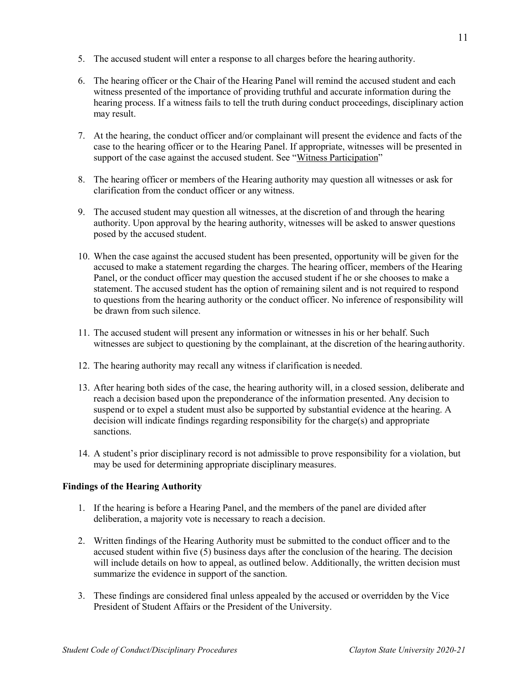- 5. The accused student will enter a response to all charges before the hearing authority.
- 6. The hearing officer or the Chair of the Hearing Panel will remind the accused student and each witness presented of the importance of providing truthful and accurate information during the hearing process. If a witness fails to tell the truth during conduct proceedings, disciplinary action may result.
- 7. At the hearing, the conduct officer and/or complainant will present the evidence and facts of the case to the hearing officer or to the Hearing Panel. If appropriate, witnesses will be presented in support of the case against the accused student. See "Witness [Participation"](#page-8-0)
- 8. The hearing officer or members of the Hearing authority may question all witnesses or ask for clarification from the conduct officer or any witness.
- 9. The accused student may question all witnesses, at the discretion of and through the hearing authority. Upon approval by the hearing authority, witnesses will be asked to answer questions posed by the accused student.
- 10. When the case against the accused student has been presented, opportunity will be given for the accused to make a statement regarding the charges. The hearing officer, members of the Hearing Panel, or the conduct officer may question the accused student if he or she chooses to make a statement. The accused student has the option of remaining silent and is not required to respond to questions from the hearing authority or the conduct officer. No inference of responsibility will be drawn from such silence.
- 11. The accused student will present any information or witnesses in his or her behalf. Such witnesses are subject to questioning by the complainant, at the discretion of the hearingauthority.
- 12. The hearing authority may recall any witness if clarification is needed.
- 13. After hearing both sides of the case, the hearing authority will, in a closed session, deliberate and reach a decision based upon the preponderance of the information presented. Any decision to suspend or to expel a student must also be supported by substantial evidence at the hearing. A decision will indicate findings regarding responsibility for the charge(s) and appropriate sanctions.
- 14. A student's prior disciplinary record is not admissible to prove responsibility for a violation, but may be used for determining appropriate disciplinary measures.

# **Findings of the Hearing Authority**

- 1. If the hearing is before a Hearing Panel, and the members of the panel are divided after deliberation, a majority vote is necessary to reach a decision.
- 2. Written findings of the Hearing Authority must be submitted to the conduct officer and to the accused student within five (5) business days after the conclusion of the hearing. The decision will include details on how to appeal, as outlined below. Additionally, the written decision must summarize the evidence in support of the sanction.
- 3. These findings are considered final unless appealed by the accused or overridden by the Vice President of Student Affairs or the President of the University.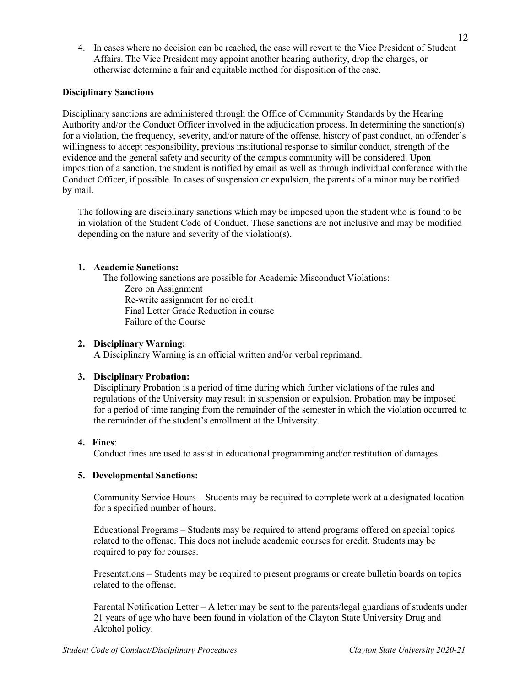4. In cases where no decision can be reached, the case will revert to the Vice President of Student Affairs. The Vice President may appoint another hearing authority, drop the charges, or otherwise determine a fair and equitable method for disposition of the case.

## **Disciplinary Sanctions**

Disciplinary sanctions are administered through the Office of Community Standards by the Hearing Authority and/or the Conduct Officer involved in the adjudication process. In determining the sanction(s) for a violation, the frequency, severity, and/or nature of the offense, history of past conduct, an offender's willingness to accept responsibility, previous institutional response to similar conduct, strength of the evidence and the general safety and security of the campus community will be considered. Upon imposition of a sanction, the student is notified by email as well as through individual conference with the Conduct Officer, if possible. In cases of suspension or expulsion, the parents of a minor may be notified by mail.

The following are disciplinary sanctions which may be imposed upon the student who is found to be in violation of the Student Code of Conduct. These sanctions are not inclusive and may be modified depending on the nature and severity of the violation(s).

# **1. Academic Sanctions:**

The following sanctions are possible for Academic Misconduct Violations: Zero on Assignment Re-write assignment for no credit Final Letter Grade Reduction in course Failure of the Course

# **2. Disciplinary Warning:**

A Disciplinary Warning is an official written and/or verbal reprimand.

# **3. Disciplinary Probation:**

Disciplinary Probation is a period of time during which further violations of the rules and regulations of the University may result in suspension or expulsion. Probation may be imposed for a period of time ranging from the remainder of the semester in which the violation occurred to the remainder of the student's enrollment at the University.

## **4. Fines**:

Conduct fines are used to assist in educational programming and/or restitution of damages.

## **5. Developmental Sanctions:**

Community Service Hours – Students may be required to complete work at a designated location for a specified number of hours.

Educational Programs – Students may be required to attend programs offered on special topics related to the offense. This does not include academic courses for credit. Students may be required to pay for courses.

Presentations – Students may be required to present programs or create bulletin boards on topics related to the offense.

Parental Notification Letter – A letter may be sent to the parents/legal guardians of students under 21 years of age who have been found in violation of the Clayton State University Drug and Alcohol policy.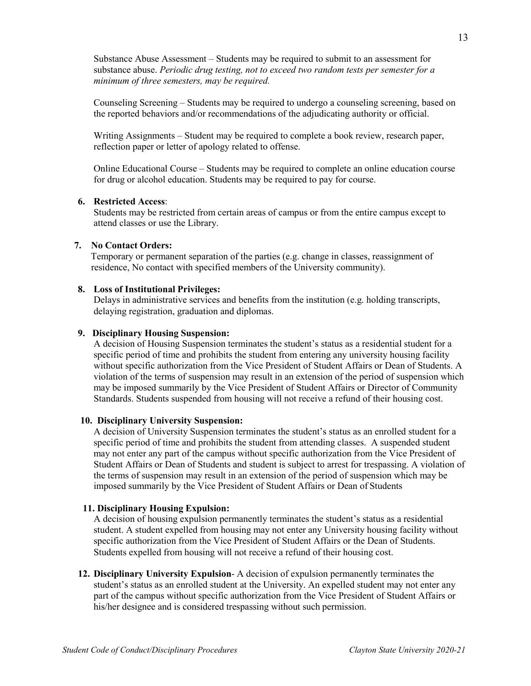Substance Abuse Assessment – Students may be required to submit to an assessment for substance abuse. *Periodic drug testing, not to exceed two random tests per semester for a minimum of three semesters, may be required.*

Counseling Screening – Students may be required to undergo a counseling screening, based on the reported behaviors and/or recommendations of the adjudicating authority or official.

Writing Assignments – Student may be required to complete a book review, research paper, reflection paper or letter of apology related to offense.

Online Educational Course – Students may be required to complete an online education course for drug or alcohol education. Students may be required to pay for course.

## **6. Restricted Access**:

Students may be restricted from certain areas of campus or from the entire campus except to attend classes or use the Library.

## **7. No Contact Orders:**

Temporary or permanent separation of the parties (e.g. change in classes, reassignment of residence, No contact with specified members of the University community).

#### **8. Loss of Institutional Privileges:**

Delays in administrative services and benefits from the institution (e.g. holding transcripts, delaying registration, graduation and diplomas.

## **9. Disciplinary Housing Suspension:**

A decision of Housing Suspension terminates the student's status as a residential student for a specific period of time and prohibits the student from entering any university housing facility without specific authorization from the Vice President of Student Affairs or Dean of Students. A violation of the terms of suspension may result in an extension of the period of suspension which may be imposed summarily by the Vice President of Student Affairs or Director of Community Standards. Students suspended from housing will not receive a refund of their housing cost.

#### **10. Disciplinary University Suspension:**

A decision of University Suspension terminates the student's status as an enrolled student for a specific period of time and prohibits the student from attending classes. A suspended student may not enter any part of the campus without specific authorization from the Vice President of Student Affairs or Dean of Students and student is subject to arrest for trespassing. A violation of the terms of suspension may result in an extension of the period of suspension which may be imposed summarily by the Vice President of Student Affairs or Dean of Students

#### **11. Disciplinary Housing Expulsion:**

A decision of housing expulsion permanently terminates the student's status as a residential student. A student expelled from housing may not enter any University housing facility without specific authorization from the Vice President of Student Affairs or the Dean of Students. Students expelled from housing will not receive a refund of their housing cost.

**12. Disciplinary University Expulsion**- A decision of expulsion permanently terminates the student's status as an enrolled student at the University. An expelled student may not enter any part of the campus without specific authorization from the Vice President of Student Affairs or his/her designee and is considered trespassing without such permission.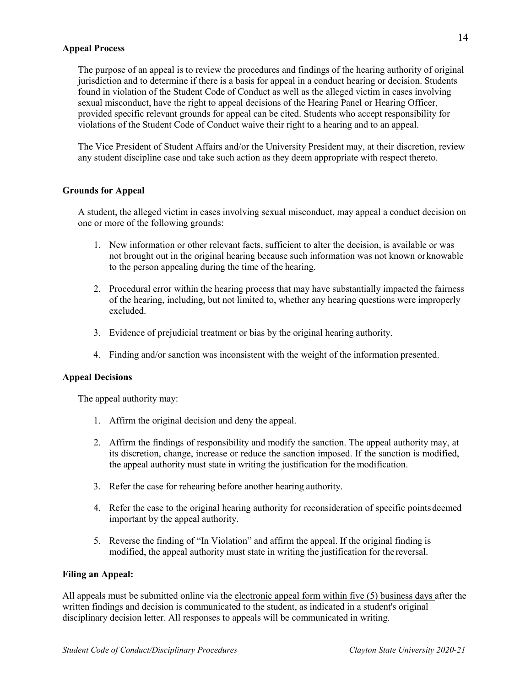### **Appeal Process**

The purpose of an appeal is to review the procedures and findings of the hearing authority of original jurisdiction and to determine if there is a basis for appeal in a conduct hearing or decision. Students found in violation of the Student Code of Conduct as well as the alleged victim in cases involving sexual misconduct, have the right to appeal decisions of the Hearing Panel or Hearing Officer, provided specific relevant grounds for appeal can be cited. Students who accept responsibility for violations of the Student Code of Conduct waive their right to a hearing and to an appeal.

The Vice President of Student Affairs and/or the University President may, at their discretion, review any student discipline case and take such action as they deem appropriate with respect thereto.

## **Grounds for Appeal**

A student, the alleged victim in cases involving sexual misconduct, may appeal a conduct decision on one or more of the following grounds:

- 1. New information or other relevant facts, sufficient to alter the decision, is available or was not brought out in the original hearing because such information was not known orknowable to the person appealing during the time of the hearing.
- 2. Procedural error within the hearing process that may have substantially impacted the fairness of the hearing, including, but not limited to, whether any hearing questions were improperly excluded.
- 3. Evidence of prejudicial treatment or bias by the original hearing authority.
- 4. Finding and/or sanction was inconsistent with the weight of the information presented.

### **Appeal Decisions**

The appeal authority may:

- 1. Affirm the original decision and deny the appeal.
- 2. Affirm the findings of responsibility and modify the sanction. The appeal authority may, at its discretion, change, increase or reduce the sanction imposed. If the sanction is modified, the appeal authority must state in writing the justification for the modification.
- 3. Refer the case for rehearing before another hearing authority.
- 4. Refer the case to the original hearing authority for reconsideration of specific pointsdeemed important by the appeal authority.
- 5. Reverse the finding of "In Violation" and affirm the appeal. If the original finding is modified, the appeal authority must state in writing the justification for the reversal.

### **Filing an Appeal:**

All appeals must be submitted online via the [electronic appeal form w](https://claytonstate.qualtrics.com/jfe/form/SV_8Jt6tErfHxvbRUp)ithin five (5) business days after the written findings and decision is communicated to the student, as indicated in a student's original disciplinary decision letter. All responses to appeals will be communicated in writing.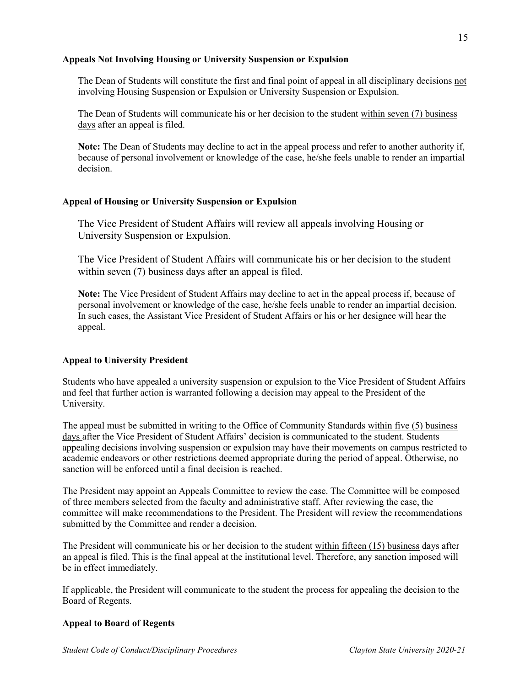## **Appeals Not Involving Housing or University Suspension or Expulsion**

The Dean of Students will constitute the first and final point of appeal in all disciplinary decisions not involving Housing Suspension or Expulsion or University Suspension or Expulsion.

The Dean of Students will communicate his or her decision to the student within seven (7) business days after an appeal is filed.

**Note:** The Dean of Students may decline to act in the appeal process and refer to another authority if, because of personal involvement or knowledge of the case, he/she feels unable to render an impartial decision.

## **Appeal of Housing or University Suspension or Expulsion**

The Vice President of Student Affairs will review all appeals involving Housing or University Suspension or Expulsion.

The Vice President of Student Affairs will communicate his or her decision to the student within seven (7) business days after an appeal is filed.

**Note:** The Vice President of Student Affairs may decline to act in the appeal process if, because of personal involvement or knowledge of the case, he/she feels unable to render an impartial decision. In such cases, the Assistant Vice President of Student Affairs or his or her designee will hear the appeal.

## **Appeal to University President**

Students who have appealed a university suspension or expulsion to the Vice President of Student Affairs and feel that further action is warranted following a decision may appeal to the President of the University.

The appeal must be submitted in writing to the Office of Community Standards within five (5) business days after the Vice President of Student Affairs' decision is communicated to the student. Students appealing decisions involving suspension or expulsion may have their movements on campus restricted to academic endeavors or other restrictions deemed appropriate during the period of appeal. Otherwise, no sanction will be enforced until a final decision is reached.

The President may appoint an Appeals Committee to review the case. The Committee will be composed of three members selected from the faculty and administrative staff. After reviewing the case, the committee will make recommendations to the President. The President will review the recommendations submitted by the Committee and render a decision.

The President will communicate his or her decision to the student within fifteen (15) business days after an appeal is filed. This is the final appeal at the institutional level. Therefore, any sanction imposed will be in effect immediately.

If applicable, the President will communicate to the student the process for appealing the decision to the Board of Regents.

### **Appeal to Board of Regents**